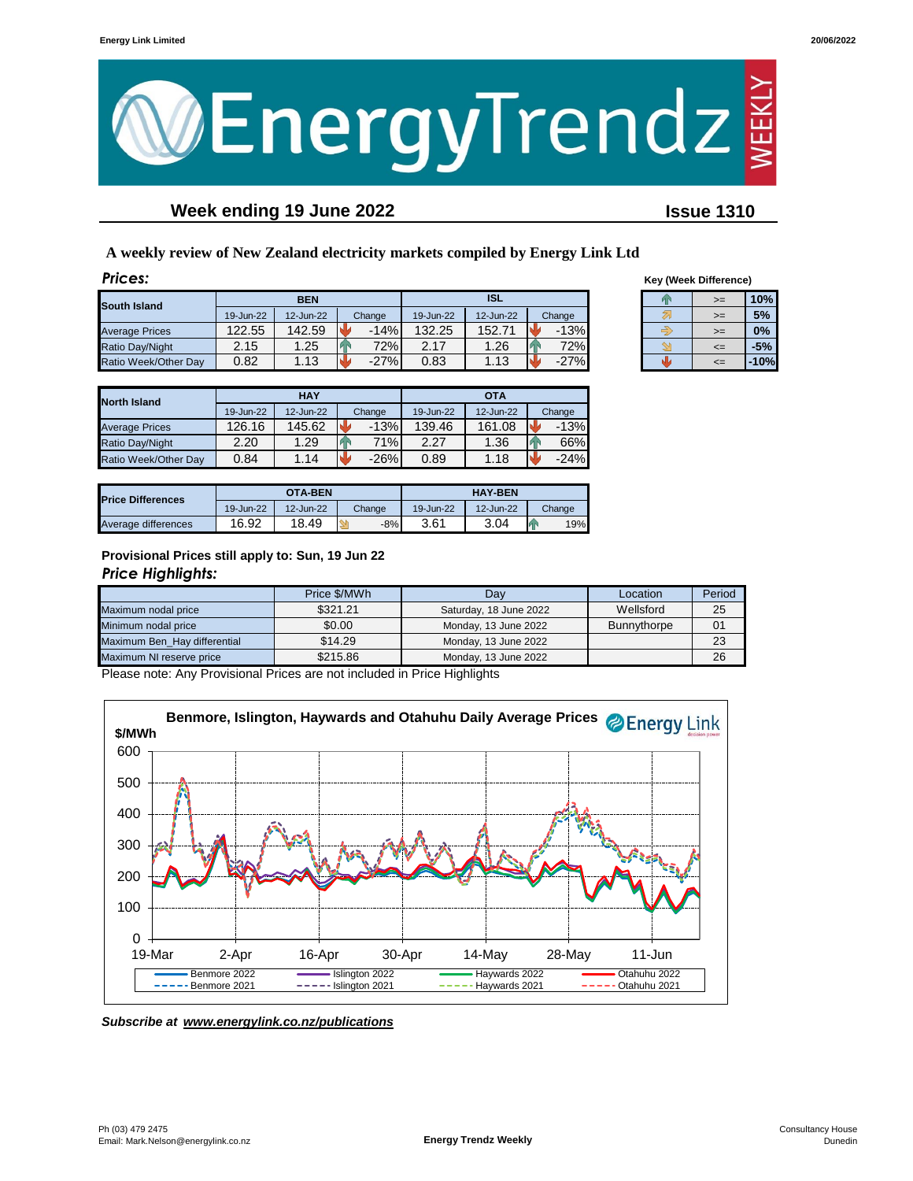

# **Week ending 19 June 2022 Issue 1310**

**A weekly review of New Zealand electricity markets compiled by Energy Link Ltd**

| <b>Prices:</b>        |           |            |        |           |            |        |    | <b>Key (Week Difference)</b> |        |
|-----------------------|-----------|------------|--------|-----------|------------|--------|----|------------------------------|--------|
| South Island          |           | <b>BEN</b> |        |           | <b>ISL</b> |        | Þх | $>=$                         | 10%    |
|                       | 19-Jun-22 | 12-Jun-22  | Change | 19-Jun-22 | 12-Jun-22  | Change |    | $>=$                         | 5%     |
| <b>Average Prices</b> | 122.55    | 142.59     | $-14%$ | 132.25    | 152.71     | $-13%$ |    | $>=$                         | 0%     |
| Ratio Day/Night       | 2.15      | 1.25       | 72%    | 2.17      | 1.26       | 72%    |    | $\leq$                       | $-5%$  |
| Ratio Week/Other Day  | 0.82      | 1.13       | $-27%$ | 0.83      | 1.13       | $-27%$ |    | $\leq$                       | $-10%$ |

| <b>Key (Week Difference)</b> |    |       |  |  |  |  |  |
|------------------------------|----|-------|--|--|--|--|--|
|                              | >= | 10%   |  |  |  |  |  |
|                              | >= | 5%    |  |  |  |  |  |
|                              | >= | 0%    |  |  |  |  |  |
|                              | <= | $-5%$ |  |  |  |  |  |
|                              |    |       |  |  |  |  |  |

| <b>North Island</b>   |           | <b>HAY</b> |        | OTA       |           |              |  |
|-----------------------|-----------|------------|--------|-----------|-----------|--------------|--|
|                       | 19-Jun-22 | 12-Jun-22  | Change | 19-Jun-22 | 12-Jun-22 | Change       |  |
| <b>Average Prices</b> | 126.16    | 145.62     | $-13%$ | 139.46    | 161.08    | $-13%$       |  |
| Ratio Day/Night       | 2.20      | 1.29       | 71%l   | 2.27      | 1.36      | A<br>66%     |  |
| Ratio Week/Other Dav  | 0.84      | 1.14       | $-26%$ | 0.89      | 1.18      | k.<br>$-24%$ |  |

| <b>Price Differences</b> |           | <b>OTA-BEN</b> |        |           | <b>HAY-BEN</b> |        |
|--------------------------|-----------|----------------|--------|-----------|----------------|--------|
|                          | 19-Jun-22 | 12-Jun-22      | Change | 19-Jun-22 | 12-Jun-22      | Change |
| Average differences      | 16.92     | 18.49          | $-8%$  | 3.61      | 3.04           | 19%    |

### **Provisional Prices still apply to: Sun, 19 Jun 22** *Price Highlights:*

|                              | Price \$/MWh | Dav                    | Location    | Period |
|------------------------------|--------------|------------------------|-------------|--------|
| Maximum nodal price          | \$321.21     | Saturday, 18 June 2022 | Wellsford   | 25     |
| Minimum nodal price          | \$0.00       | Monday, 13 June 2022   | Bunnythorpe | 01     |
| Maximum Ben Hay differential | \$14.29      | Monday, 13 June 2022   |             | 23     |
| Maximum NI reserve price     | \$215.86     | Monday, 13 June 2022   |             | 26     |

Please note: Any Provisional Prices are not included in Price Highlights



*Subscribe at www.energylink.co.nz/publications*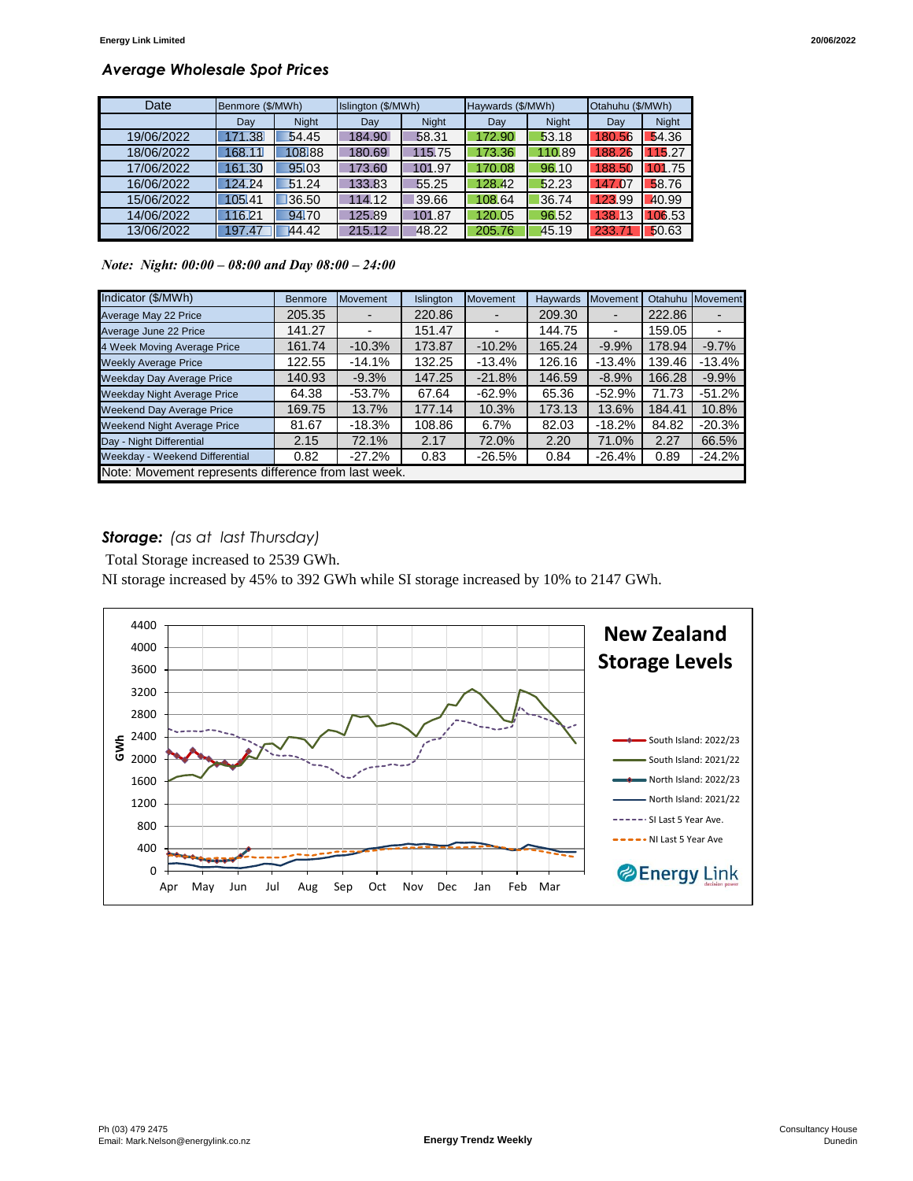# *Average Wholesale Spot Prices*

| Date       | Benmore (\$/MWh) |              | Islington (\$/MWh) |              | Haywards (\$/MWh) |              | Otahuhu (\$/MWh) |              |
|------------|------------------|--------------|--------------------|--------------|-------------------|--------------|------------------|--------------|
|            | Dav              | <b>Night</b> | Dav                | <b>Night</b> | Dav               | <b>Night</b> | Day              | <b>Night</b> |
| 19/06/2022 | 171.38           | 54.45        | 184.90             | 58.31        | 172.90            | 53.18        | 180.56           | 54.36        |
| 18/06/2022 | 168.11           | 108.88       | 180.69             | 115.75       | 173.36            | 110.89       | 188.26           | 115.27       |
| 17/06/2022 | 161.30           | 95.03        | 173.60             | 101.97       | 170.08            | 96.10        | 188.50           | 101.75       |
| 16/06/2022 | 124.24           | 51.24        | 133.83             | 55.25        | 128.42            | 52.23        | 147.07           | 58.76        |
| 15/06/2022 | 105.41           | 36.50        | 114.12             | 39.66        | 108.64            | 36.74        | 123.99           | 40.99        |
| 14/06/2022 | 116.21           | 94.70        | 125.89             | 101.87       | 120.05            | 96.52        | 138.13           | 106.53       |
| 13/06/2022 | 197.47           | 44.42        | 215.12             | 48.22        | 205.76            | 45.19        | 233.71           | 50.63        |

*Note: Night: 00:00 – 08:00 and Day 08:00 – 24:00*

| Indicator (\$/MWh)                                   | <b>Benmore</b> | <b>Movement</b> | Islington | <b>Movement</b> | Haywards | Movement                 | Otahuhu | Movement |
|------------------------------------------------------|----------------|-----------------|-----------|-----------------|----------|--------------------------|---------|----------|
| Average May 22 Price                                 | 205.35         |                 | 220.86    |                 | 209.30   |                          | 222.86  |          |
| Average June 22 Price                                | 141.27         |                 | 151.47    |                 | 144.75   | $\overline{\phantom{0}}$ | 159.05  |          |
| 4 Week Moving Average Price                          | 161.74         | $-10.3%$        | 173.87    | $-10.2%$        | 165.24   | $-9.9%$                  | 178.94  | $-9.7%$  |
| <b>Weekly Average Price</b>                          | 122.55         | $-14.1%$        | 132.25    | $-13.4%$        | 126.16   | $-13.4%$                 | 139.46  | $-13.4%$ |
| <b>Weekday Day Average Price</b>                     | 140.93         | $-9.3%$         | 147.25    | $-21.8%$        | 146.59   | $-8.9%$                  | 166.28  | $-9.9%$  |
| <b>Weekday Night Average Price</b>                   | 64.38          | $-53.7\%$       | 67.64     | $-62.9\%$       | 65.36    | $-52.9%$                 | 71.73   | $-51.2%$ |
| <b>Weekend Day Average Price</b>                     | 169.75         | 13.7%           | 177.14    | 10.3%           | 173.13   | 13.6%                    | 184.41  | 10.8%    |
| <b>Weekend Night Average Price</b>                   | 81.67          | $-18.3%$        | 108.86    | 6.7%            | 82.03    | $-18.2%$                 | 84.82   | $-20.3%$ |
| Day - Night Differential                             | 2.15           | 72.1%           | 2.17      | 72.0%           | 2.20     | 71.0%                    | 2.27    | 66.5%    |
| Weekday - Weekend Differential                       | 0.82           | $-27.2%$        | 0.83      | $-26.5%$        | 0.84     | $-26.4%$                 | 0.89    | $-24.2%$ |
| Note: Movement represents difference from last week. |                |                 |           |                 |          |                          |         |          |

### *Storage: (as at last Thursday)*

Total Storage increased to 2539 GWh.

NI storage increased by 45% to 392 GWh while SI storage increased by 10% to 2147 GWh.

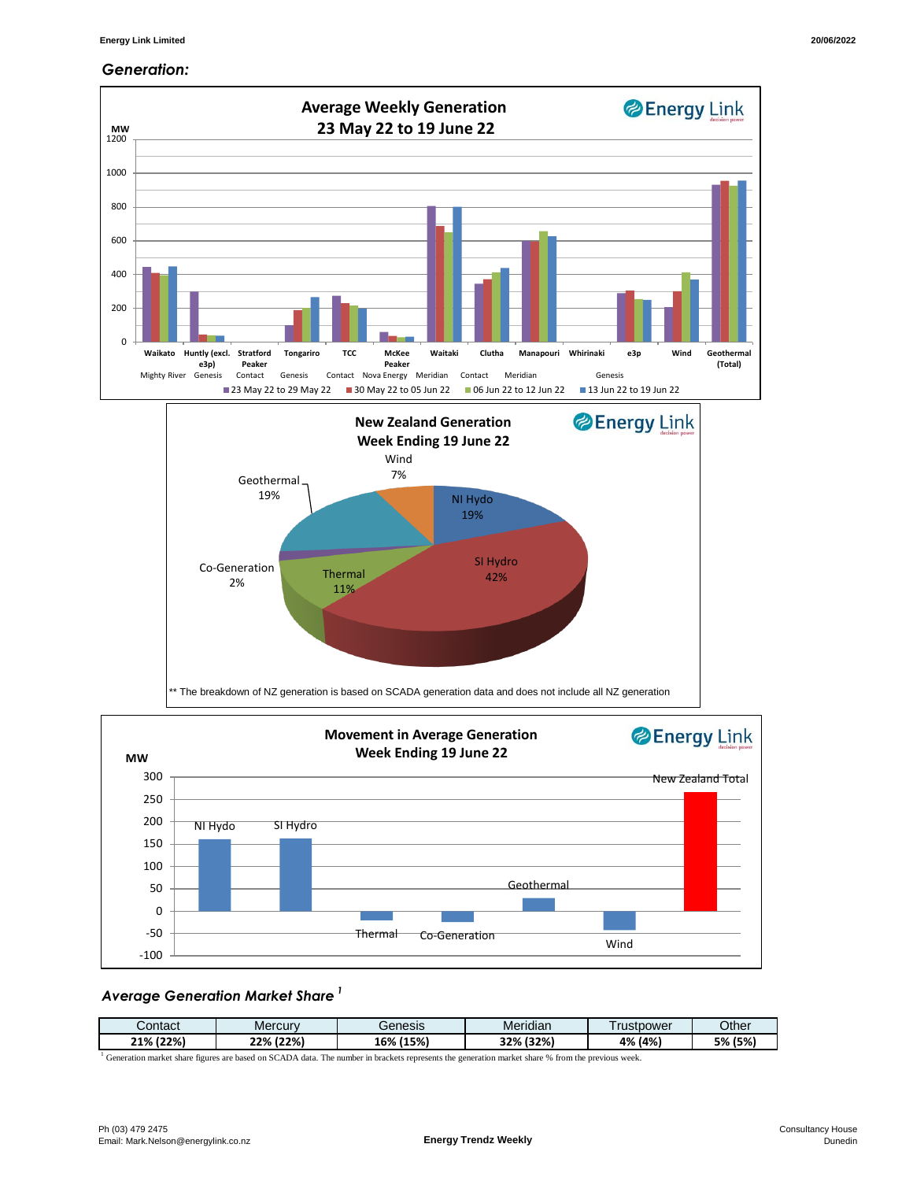#### *Generation:*



#### *Average Generation Market Share <sup>1</sup>*

| انcontact    | Mercury      | Genesis      | $\cdot$<br>Meridian | rustpower | Other        |
|--------------|--------------|--------------|---------------------|-----------|--------------|
| (22%)<br>21% | (22%)<br>22% | (15%)<br>16% | 32% (32%)           | 4% (4%)   | 5% (<br>(5%) |

<sup>1</sup> Generation market share figures are based on SCADA data. The number in brackets represents the generation market share % from the previous week.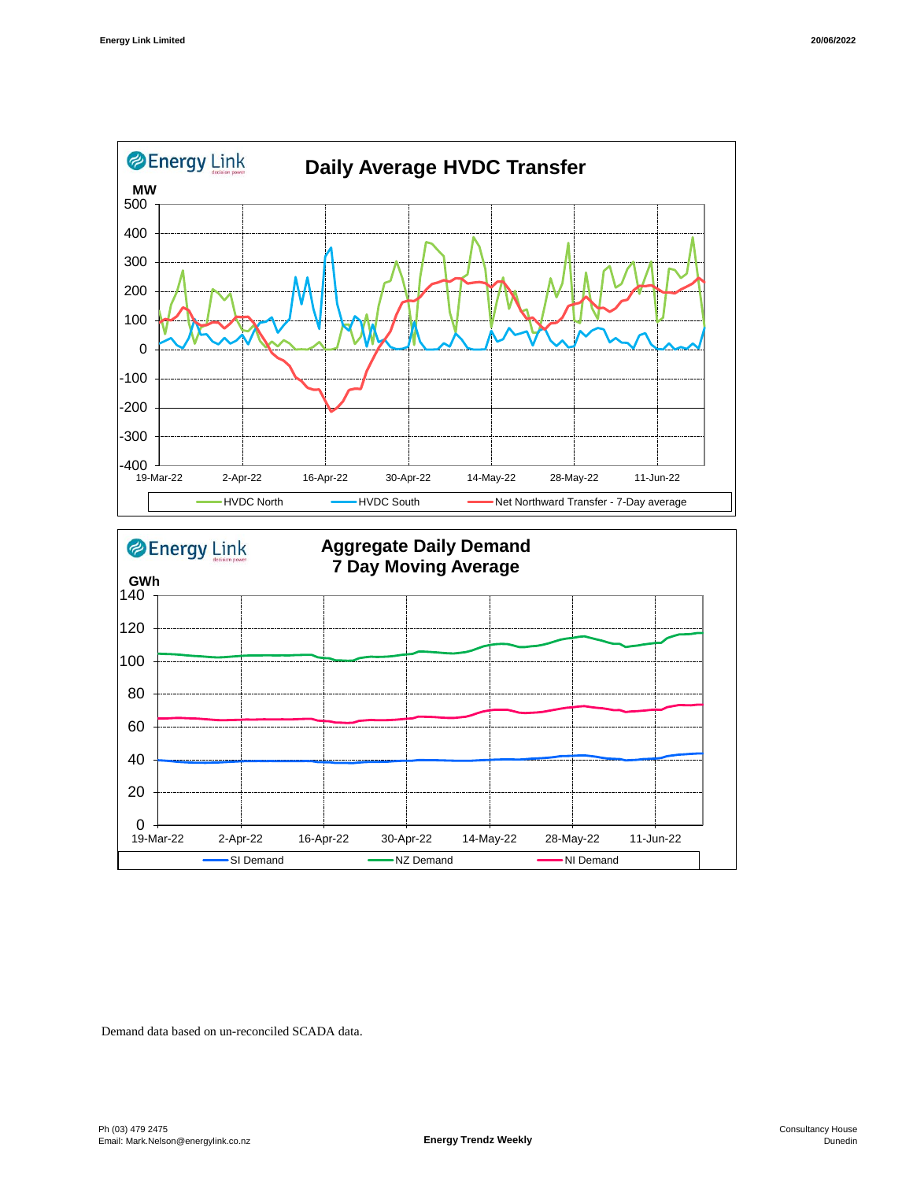



Demand data based on un-reconciled SCADA data.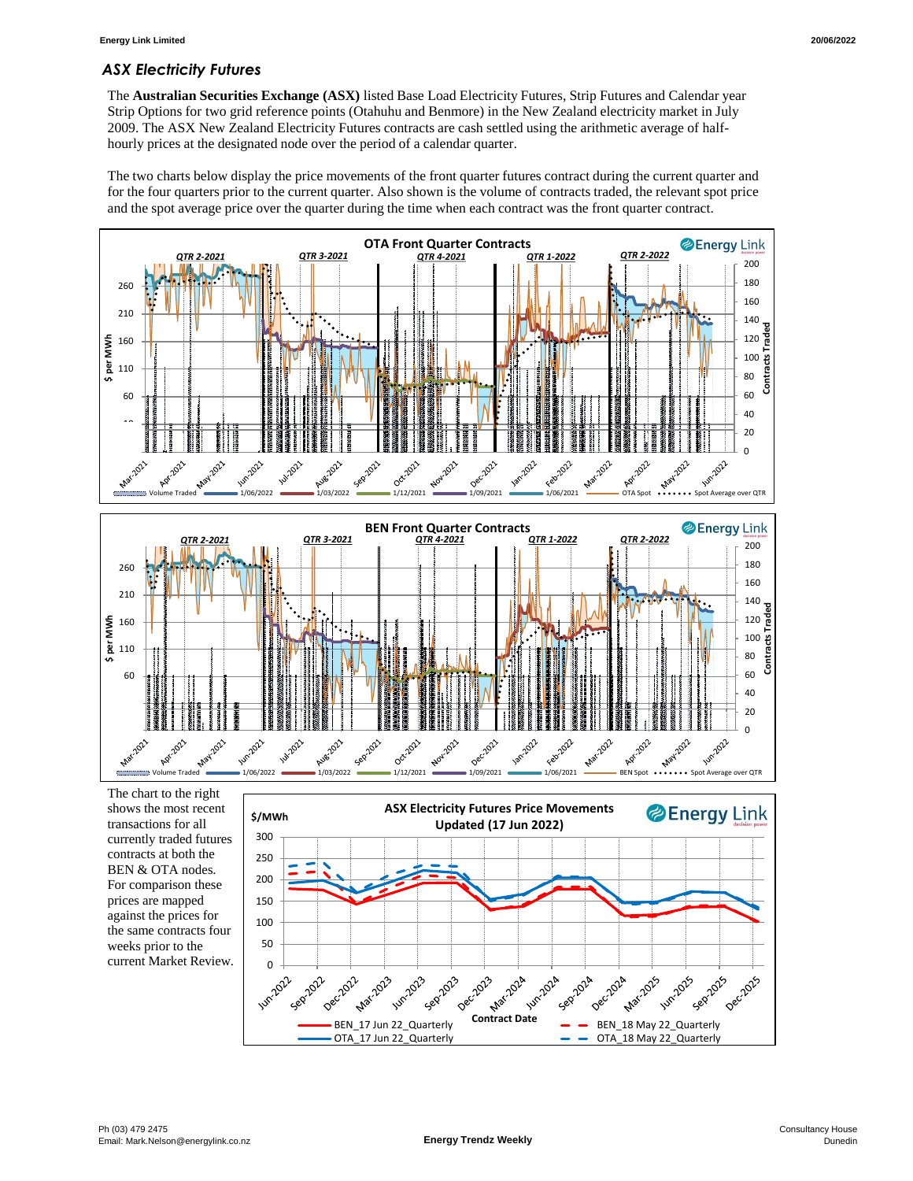# *ASX Electricity Futures*

The **Australian Securities Exchange (ASX)** listed Base Load Electricity Futures, Strip Futures and Calendar year Strip Options for two grid reference points (Otahuhu and Benmore) in the New Zealand electricity market in July 2009. The ASX New Zealand Electricity Futures contracts are cash settled using the arithmetic average of halfhourly prices at the designated node over the period of a calendar quarter.

The two charts below display the price movements of the front quarter futures contract during the current quarter and for the four quarters prior to the current quarter. Also shown is the volume of contracts traded, the relevant spot price and the spot average price over the quarter during the time when each contract was the front quarter contract.



The chart to the right shows the most recent transactions for all currently traded futures contracts at both the BEN & OTA nodes. For comparison these prices are mapped against the prices for the same contracts four weeks prior to the current Market Review.